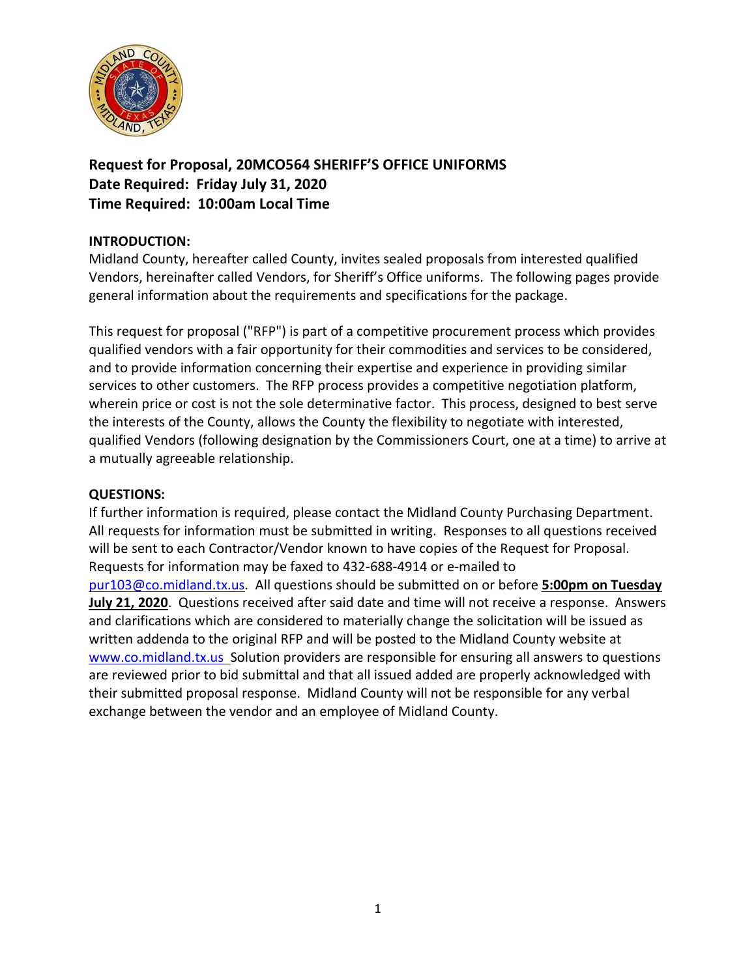

**Request for Proposal, 20MCO564 SHERIFF'S OFFICE UNIFORMS Date Required: Friday July 31, 2020 Time Required: 10:00am Local Time**

## **INTRODUCTION:**

Midland County, hereafter called County, invites sealed proposals from interested qualified Vendors, hereinafter called Vendors, for Sheriff's Office uniforms. The following pages provide general information about the requirements and specifications for the package.

This request for proposal ("RFP") is part of a competitive procurement process which provides qualified vendors with a fair opportunity for their commodities and services to be considered, and to provide information concerning their expertise and experience in providing similar services to other customers. The RFP process provides a competitive negotiation platform, wherein price or cost is not the sole determinative factor. This process, designed to best serve the interests of the County, allows the County the flexibility to negotiate with interested, qualified Vendors (following designation by the Commissioners Court, one at a time) to arrive at a mutually agreeable relationship.

## **QUESTIONS:**

If further information is required, please contact the Midland County Purchasing Department. All requests for information must be submitted in writing. Responses to all questions received will be sent to each Contractor/Vendor known to have copies of the Request for Proposal. Requests for information may be faxed to 432-688-4914 or e-mailed to [pur103@co.midland.tx.us.](mailto:pur103@co.midland.tx.us) All questions should be submitted on or before **5:00pm on Tuesday July 21, 2020**. Questions received after said date and time will not receive a response. Answers and clarifications which are considered to materially change the solicitation will be issued as written addenda to the original RFP and will be posted to the Midland County website at [www.co.midland.tx.us](http://www.co.midland.tx.us/) Solution providers are responsible for ensuring all answers to questions are reviewed prior to bid submittal and that all issued added are properly acknowledged with their submitted proposal response. Midland County will not be responsible for any verbal exchange between the vendor and an employee of Midland County.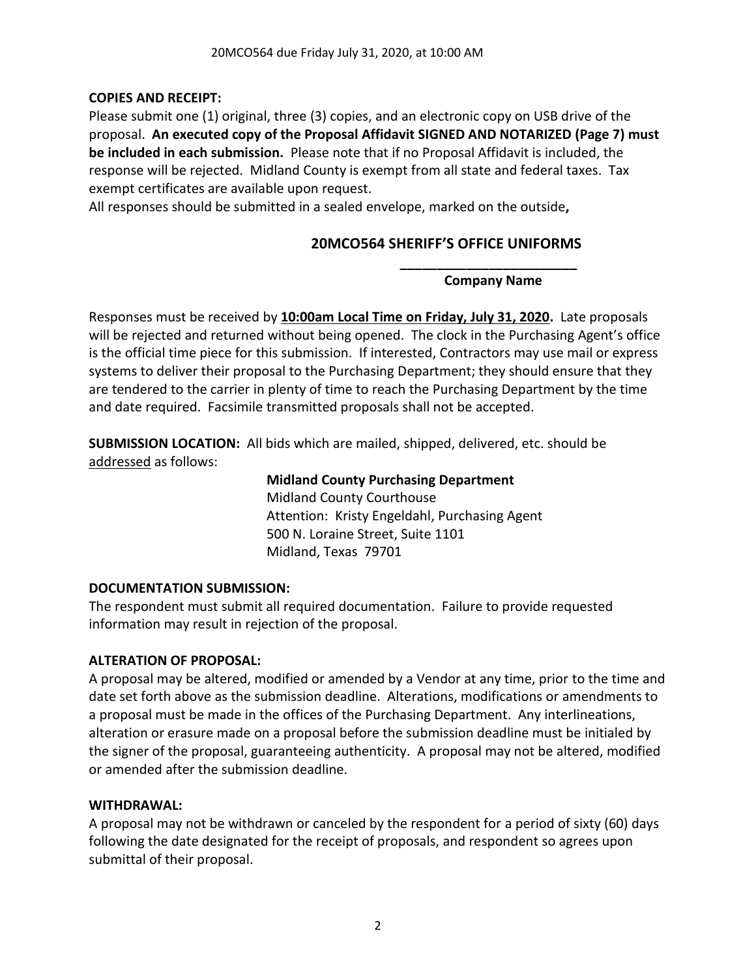# **COPIES AND RECEIPT:**

Please submit one (1) original, three (3) copies, and an electronic copy on USB drive of the proposal. **An executed copy of the Proposal Affidavit SIGNED AND NOTARIZED (Page 7) must be included in each submission.** Please note that if no Proposal Affidavit is included, the response will be rejected. Midland County is exempt from all state and federal taxes. Tax exempt certificates are available upon request.

All responses should be submitted in a sealed envelope, marked on the outside**,** 

# **20MCO564 SHERIFF'S OFFICE UNIFORMS**

**\_\_\_\_\_\_\_\_\_\_\_\_\_\_\_\_\_\_\_\_\_\_\_\_ Company Name**

Responses must be received by **10:00am Local Time on Friday, July 31, 2020.** Late proposals will be rejected and returned without being opened. The clock in the Purchasing Agent's office is the official time piece for this submission. If interested, Contractors may use mail or express systems to deliver their proposal to the Purchasing Department; they should ensure that they are tendered to the carrier in plenty of time to reach the Purchasing Department by the time and date required. Facsimile transmitted proposals shall not be accepted.

**SUBMISSION LOCATION:** All bids which are mailed, shipped, delivered, etc. should be addressed as follows:

## **Midland County Purchasing Department**

Midland County Courthouse Attention: Kristy Engeldahl, Purchasing Agent 500 N. Loraine Street, Suite 1101 Midland, Texas 79701

# **DOCUMENTATION SUBMISSION:**

The respondent must submit all required documentation. Failure to provide requested information may result in rejection of the proposal.

# **ALTERATION OF PROPOSAL:**

A proposal may be altered, modified or amended by a Vendor at any time, prior to the time and date set forth above as the submission deadline. Alterations, modifications or amendments to a proposal must be made in the offices of the Purchasing Department. Any interlineations, alteration or erasure made on a proposal before the submission deadline must be initialed by the signer of the proposal, guaranteeing authenticity. A proposal may not be altered, modified or amended after the submission deadline.

## **WITHDRAWAL:**

A proposal may not be withdrawn or canceled by the respondent for a period of sixty (60) days following the date designated for the receipt of proposals, and respondent so agrees upon submittal of their proposal.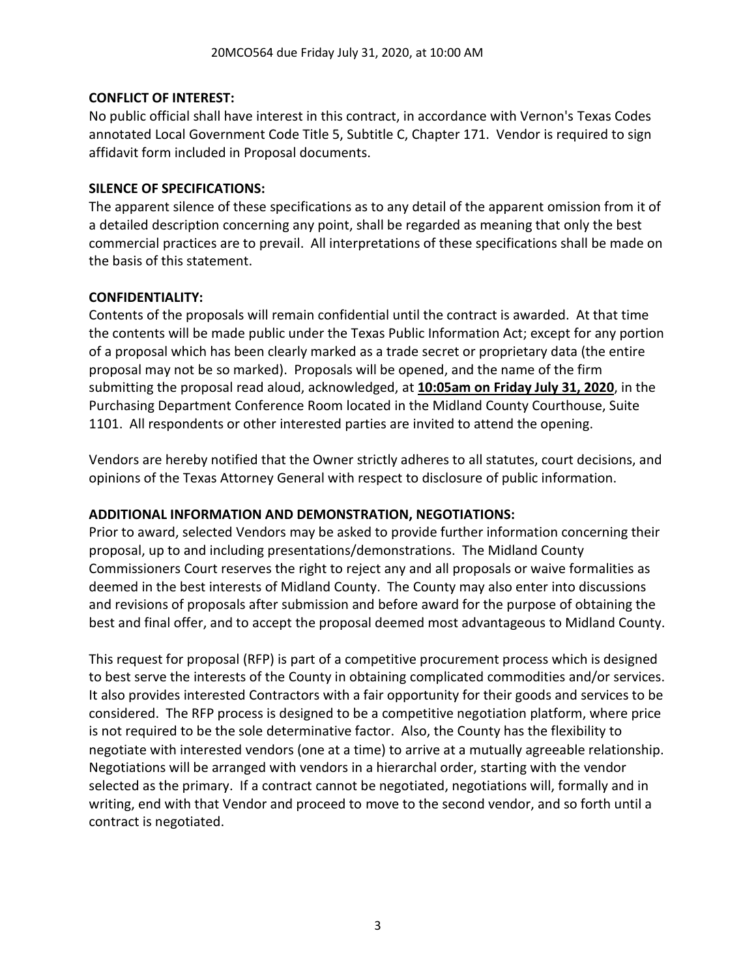## **CONFLICT OF INTEREST:**

No public official shall have interest in this contract, in accordance with Vernon's Texas Codes annotated Local Government Code Title 5, Subtitle C, Chapter 171. Vendor is required to sign affidavit form included in Proposal documents.

## **SILENCE OF SPECIFICATIONS:**

The apparent silence of these specifications as to any detail of the apparent omission from it of a detailed description concerning any point, shall be regarded as meaning that only the best commercial practices are to prevail. All interpretations of these specifications shall be made on the basis of this statement.

## **CONFIDENTIALITY:**

Contents of the proposals will remain confidential until the contract is awarded. At that time the contents will be made public under the Texas Public Information Act; except for any portion of a proposal which has been clearly marked as a trade secret or proprietary data (the entire proposal may not be so marked). Proposals will be opened, and the name of the firm submitting the proposal read aloud, acknowledged, at **10:05am on Friday July 31, 2020**, in the Purchasing Department Conference Room located in the Midland County Courthouse, Suite 1101. All respondents or other interested parties are invited to attend the opening.

Vendors are hereby notified that the Owner strictly adheres to all statutes, court decisions, and opinions of the Texas Attorney General with respect to disclosure of public information.

## **ADDITIONAL INFORMATION AND DEMONSTRATION, NEGOTIATIONS:**

Prior to award, selected Vendors may be asked to provide further information concerning their proposal, up to and including presentations/demonstrations. The Midland County Commissioners Court reserves the right to reject any and all proposals or waive formalities as deemed in the best interests of Midland County. The County may also enter into discussions and revisions of proposals after submission and before award for the purpose of obtaining the best and final offer, and to accept the proposal deemed most advantageous to Midland County.

This request for proposal (RFP) is part of a competitive procurement process which is designed to best serve the interests of the County in obtaining complicated commodities and/or services. It also provides interested Contractors with a fair opportunity for their goods and services to be considered. The RFP process is designed to be a competitive negotiation platform, where price is not required to be the sole determinative factor. Also, the County has the flexibility to negotiate with interested vendors (one at a time) to arrive at a mutually agreeable relationship. Negotiations will be arranged with vendors in a hierarchal order, starting with the vendor selected as the primary. If a contract cannot be negotiated, negotiations will, formally and in writing, end with that Vendor and proceed to move to the second vendor, and so forth until a contract is negotiated.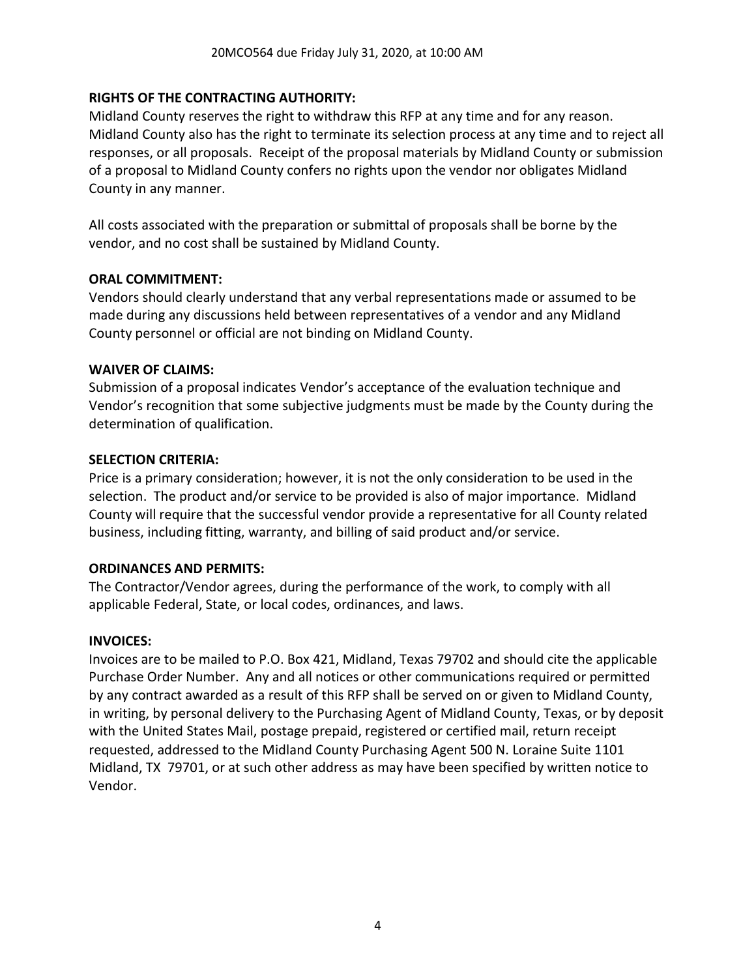## **RIGHTS OF THE CONTRACTING AUTHORITY:**

Midland County reserves the right to withdraw this RFP at any time and for any reason. Midland County also has the right to terminate its selection process at any time and to reject all responses, or all proposals. Receipt of the proposal materials by Midland County or submission of a proposal to Midland County confers no rights upon the vendor nor obligates Midland County in any manner.

All costs associated with the preparation or submittal of proposals shall be borne by the vendor, and no cost shall be sustained by Midland County.

## **ORAL COMMITMENT:**

Vendors should clearly understand that any verbal representations made or assumed to be made during any discussions held between representatives of a vendor and any Midland County personnel or official are not binding on Midland County.

## **WAIVER OF CLAIMS:**

Submission of a proposal indicates Vendor's acceptance of the evaluation technique and Vendor's recognition that some subjective judgments must be made by the County during the determination of qualification.

#### **SELECTION CRITERIA:**

Price is a primary consideration; however, it is not the only consideration to be used in the selection. The product and/or service to be provided is also of major importance. Midland County will require that the successful vendor provide a representative for all County related business, including fitting, warranty, and billing of said product and/or service.

## **ORDINANCES AND PERMITS:**

The Contractor/Vendor agrees, during the performance of the work, to comply with all applicable Federal, State, or local codes, ordinances, and laws.

## **INVOICES:**

Invoices are to be mailed to P.O. Box 421, Midland, Texas 79702 and should cite the applicable Purchase Order Number. Any and all notices or other communications required or permitted by any contract awarded as a result of this RFP shall be served on or given to Midland County, in writing, by personal delivery to the Purchasing Agent of Midland County, Texas, or by deposit with the United States Mail, postage prepaid, registered or certified mail, return receipt requested, addressed to the Midland County Purchasing Agent 500 N. Loraine Suite 1101 Midland, TX 79701, or at such other address as may have been specified by written notice to Vendor.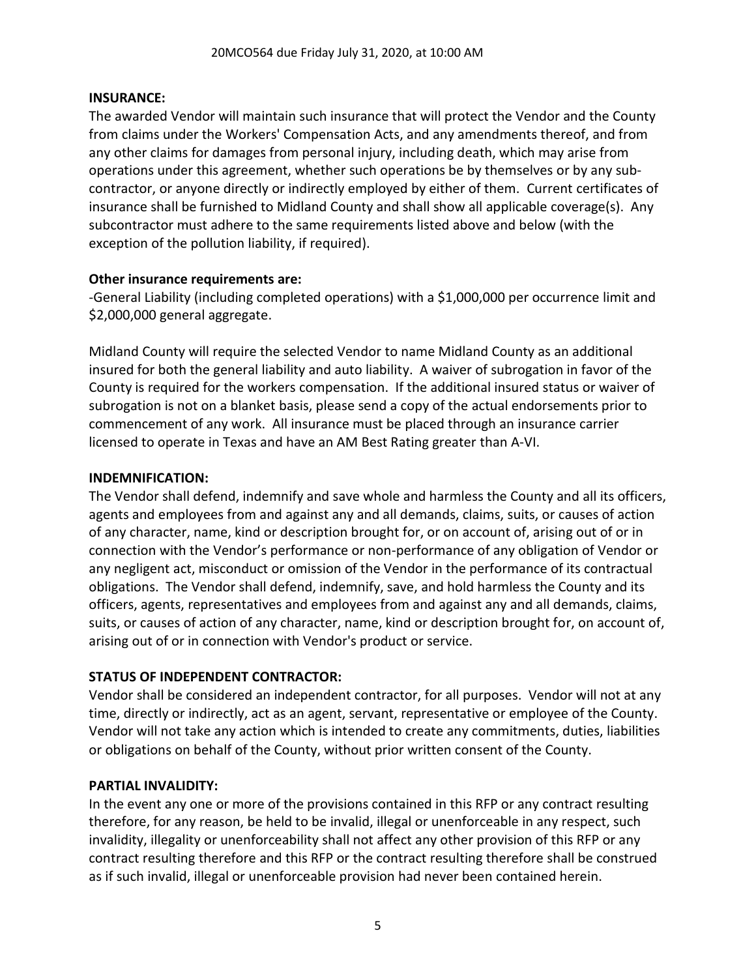## **INSURANCE:**

The awarded Vendor will maintain such insurance that will protect the Vendor and the County from claims under the Workers' Compensation Acts, and any amendments thereof, and from any other claims for damages from personal injury, including death, which may arise from operations under this agreement, whether such operations be by themselves or by any subcontractor, or anyone directly or indirectly employed by either of them. Current certificates of insurance shall be furnished to Midland County and shall show all applicable coverage(s). Any subcontractor must adhere to the same requirements listed above and below (with the exception of the pollution liability, if required).

## **Other insurance requirements are:**

-General Liability (including completed operations) with a \$1,000,000 per occurrence limit and \$2,000,000 general aggregate.

Midland County will require the selected Vendor to name Midland County as an additional insured for both the general liability and auto liability. A waiver of subrogation in favor of the County is required for the workers compensation. If the additional insured status or waiver of subrogation is not on a blanket basis, please send a copy of the actual endorsements prior to commencement of any work. All insurance must be placed through an insurance carrier licensed to operate in Texas and have an AM Best Rating greater than A-VI.

#### **INDEMNIFICATION:**

The Vendor shall defend, indemnify and save whole and harmless the County and all its officers, agents and employees from and against any and all demands, claims, suits, or causes of action of any character, name, kind or description brought for, or on account of, arising out of or in connection with the Vendor's performance or non-performance of any obligation of Vendor or any negligent act, misconduct or omission of the Vendor in the performance of its contractual obligations. The Vendor shall defend, indemnify, save, and hold harmless the County and its officers, agents, representatives and employees from and against any and all demands, claims, suits, or causes of action of any character, name, kind or description brought for, on account of, arising out of or in connection with Vendor's product or service.

## **STATUS OF INDEPENDENT CONTRACTOR:**

Vendor shall be considered an independent contractor, for all purposes. Vendor will not at any time, directly or indirectly, act as an agent, servant, representative or employee of the County. Vendor will not take any action which is intended to create any commitments, duties, liabilities or obligations on behalf of the County, without prior written consent of the County.

#### **PARTIAL INVALIDITY:**

In the event any one or more of the provisions contained in this RFP or any contract resulting therefore, for any reason, be held to be invalid, illegal or unenforceable in any respect, such invalidity, illegality or unenforceability shall not affect any other provision of this RFP or any contract resulting therefore and this RFP or the contract resulting therefore shall be construed as if such invalid, illegal or unenforceable provision had never been contained herein.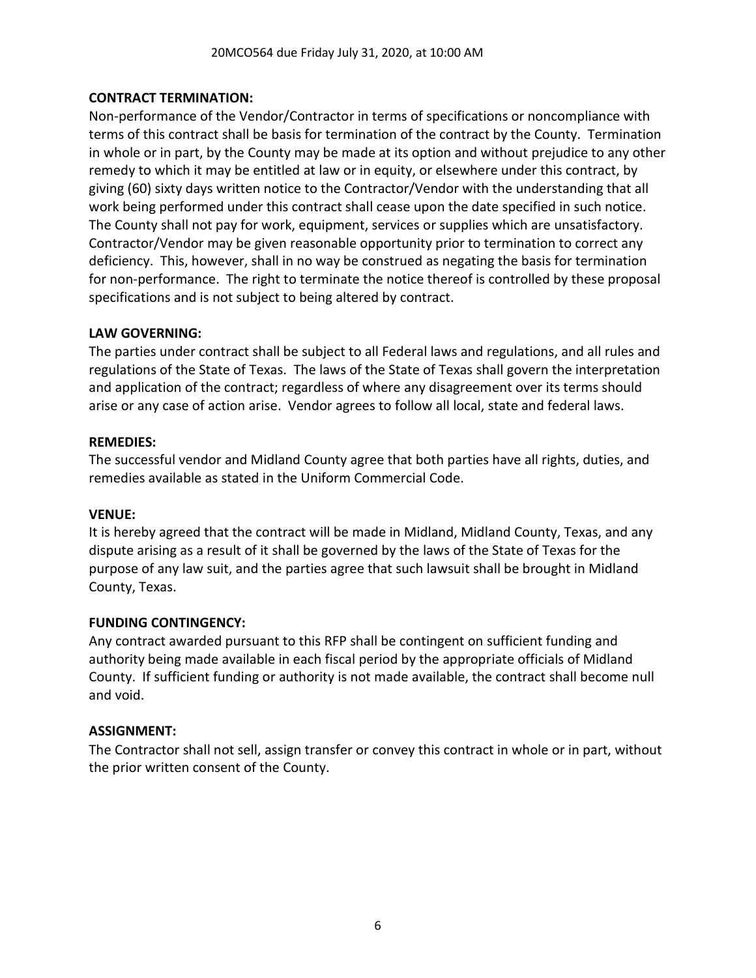## **CONTRACT TERMINATION:**

Non-performance of the Vendor/Contractor in terms of specifications or noncompliance with terms of this contract shall be basis for termination of the contract by the County. Termination in whole or in part, by the County may be made at its option and without prejudice to any other remedy to which it may be entitled at law or in equity, or elsewhere under this contract, by giving (60) sixty days written notice to the Contractor/Vendor with the understanding that all work being performed under this contract shall cease upon the date specified in such notice. The County shall not pay for work, equipment, services or supplies which are unsatisfactory. Contractor/Vendor may be given reasonable opportunity prior to termination to correct any deficiency. This, however, shall in no way be construed as negating the basis for termination for non-performance. The right to terminate the notice thereof is controlled by these proposal specifications and is not subject to being altered by contract.

## **LAW GOVERNING:**

The parties under contract shall be subject to all Federal laws and regulations, and all rules and regulations of the State of Texas. The laws of the State of Texas shall govern the interpretation and application of the contract; regardless of where any disagreement over its terms should arise or any case of action arise. Vendor agrees to follow all local, state and federal laws.

## **REMEDIES:**

The successful vendor and Midland County agree that both parties have all rights, duties, and remedies available as stated in the Uniform Commercial Code.

## **VENUE:**

It is hereby agreed that the contract will be made in Midland, Midland County, Texas, and any dispute arising as a result of it shall be governed by the laws of the State of Texas for the purpose of any law suit, and the parties agree that such lawsuit shall be brought in Midland County, Texas.

## **FUNDING CONTINGENCY:**

Any contract awarded pursuant to this RFP shall be contingent on sufficient funding and authority being made available in each fiscal period by the appropriate officials of Midland County. If sufficient funding or authority is not made available, the contract shall become null and void.

## **ASSIGNMENT:**

The Contractor shall not sell, assign transfer or convey this contract in whole or in part, without the prior written consent of the County.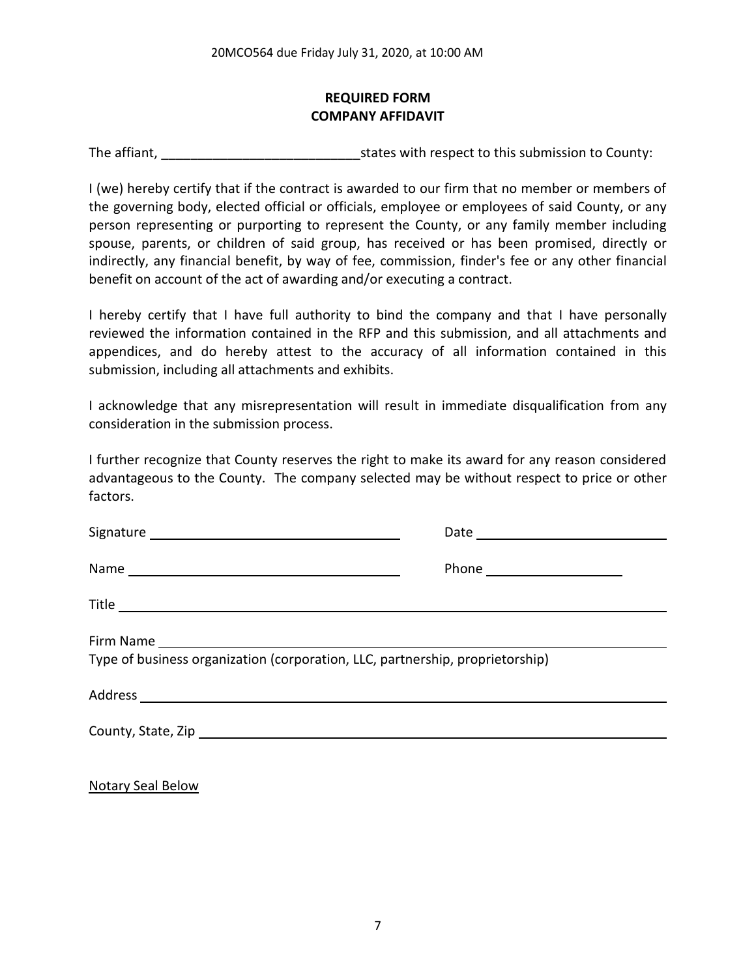# **REQUIRED FORM COMPANY AFFIDAVIT**

The affiant, The affiant, The affiant,  $\frac{1}{2}$  is tates with respect to this submission to County:

I (we) hereby certify that if the contract is awarded to our firm that no member or members of the governing body, elected official or officials, employee or employees of said County, or any person representing or purporting to represent the County, or any family member including spouse, parents, or children of said group, has received or has been promised, directly or indirectly, any financial benefit, by way of fee, commission, finder's fee or any other financial benefit on account of the act of awarding and/or executing a contract.

I hereby certify that I have full authority to bind the company and that I have personally reviewed the information contained in the RFP and this submission, and all attachments and appendices, and do hereby attest to the accuracy of all information contained in this submission, including all attachments and exhibits.

I acknowledge that any misrepresentation will result in immediate disqualification from any consideration in the submission process.

I further recognize that County reserves the right to make its award for any reason considered advantageous to the County. The company selected may be without respect to price or other factors.

| Type of business organization (corporation, LLC, partnership, proprietorship) |  |
|-------------------------------------------------------------------------------|--|

Notary Seal Below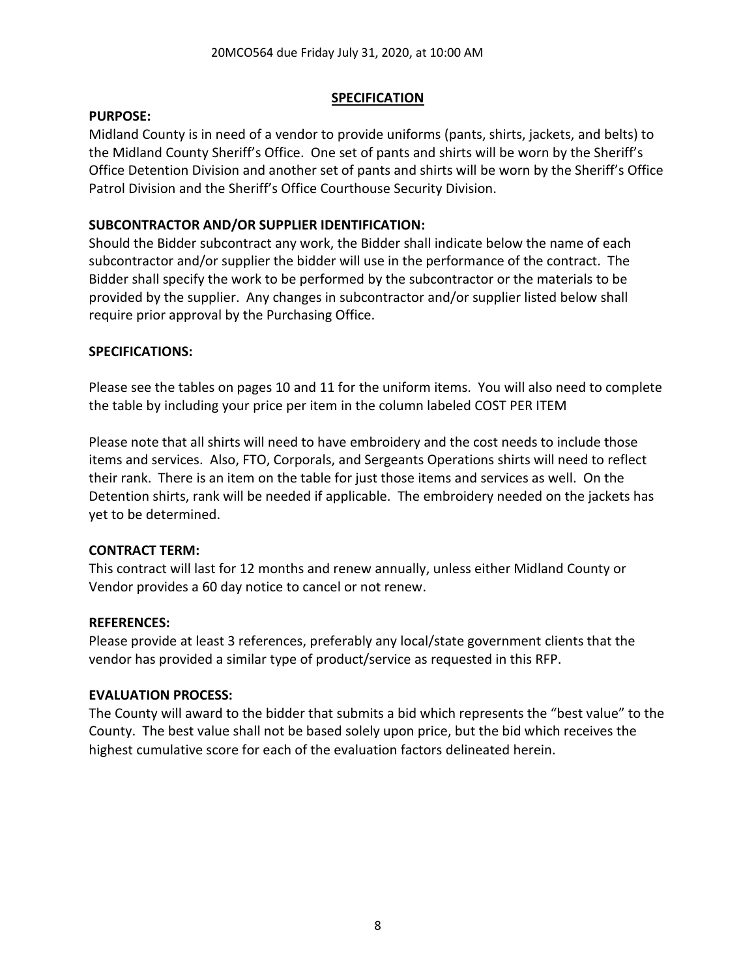## **SPECIFICATION**

## **PURPOSE:**

Midland County is in need of a vendor to provide uniforms (pants, shirts, jackets, and belts) to the Midland County Sheriff's Office. One set of pants and shirts will be worn by the Sheriff's Office Detention Division and another set of pants and shirts will be worn by the Sheriff's Office Patrol Division and the Sheriff's Office Courthouse Security Division.

# **SUBCONTRACTOR AND/OR SUPPLIER IDENTIFICATION:**

Should the Bidder subcontract any work, the Bidder shall indicate below the name of each subcontractor and/or supplier the bidder will use in the performance of the contract. The Bidder shall specify the work to be performed by the subcontractor or the materials to be provided by the supplier. Any changes in subcontractor and/or supplier listed below shall require prior approval by the Purchasing Office.

# **SPECIFICATIONS:**

Please see the tables on pages 10 and 11 for the uniform items. You will also need to complete the table by including your price per item in the column labeled COST PER ITEM

Please note that all shirts will need to have embroidery and the cost needs to include those items and services. Also, FTO, Corporals, and Sergeants Operations shirts will need to reflect their rank. There is an item on the table for just those items and services as well. On the Detention shirts, rank will be needed if applicable. The embroidery needed on the jackets has yet to be determined.

# **CONTRACT TERM:**

This contract will last for 12 months and renew annually, unless either Midland County or Vendor provides a 60 day notice to cancel or not renew.

# **REFERENCES:**

Please provide at least 3 references, preferably any local/state government clients that the vendor has provided a similar type of product/service as requested in this RFP.

# **EVALUATION PROCESS:**

The County will award to the bidder that submits a bid which represents the "best value" to the County. The best value shall not be based solely upon price, but the bid which receives the highest cumulative score for each of the evaluation factors delineated herein.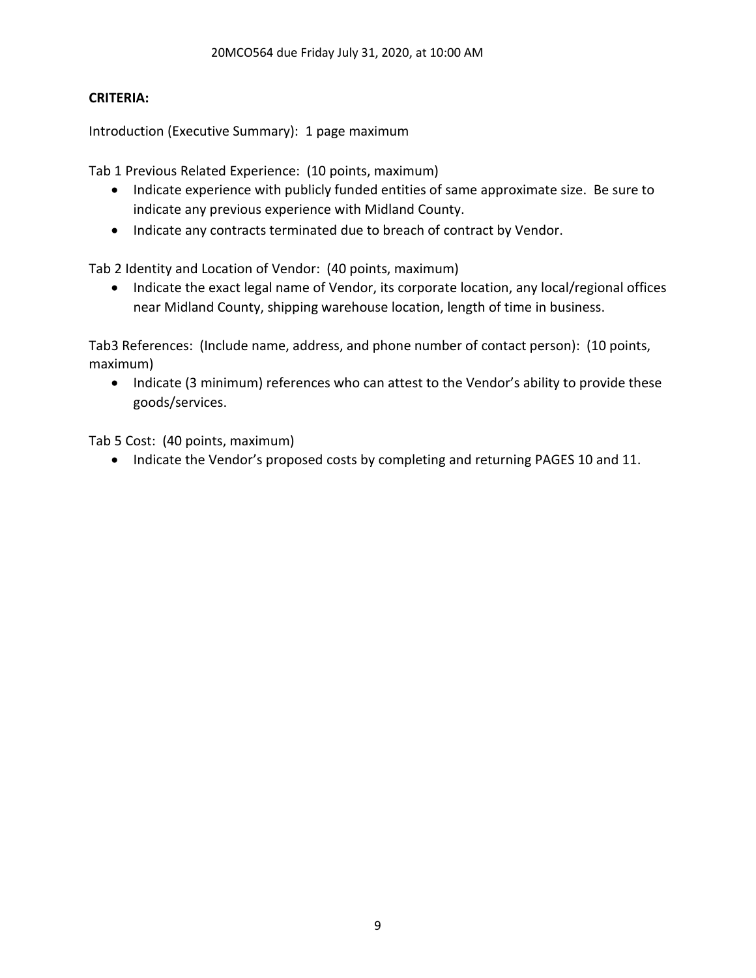# **CRITERIA:**

Introduction (Executive Summary): 1 page maximum

Tab 1 Previous Related Experience: (10 points, maximum)

- Indicate experience with publicly funded entities of same approximate size. Be sure to indicate any previous experience with Midland County.
- Indicate any contracts terminated due to breach of contract by Vendor.

Tab 2 Identity and Location of Vendor: (40 points, maximum)

• Indicate the exact legal name of Vendor, its corporate location, any local/regional offices near Midland County, shipping warehouse location, length of time in business.

Tab3 References: (Include name, address, and phone number of contact person): (10 points, maximum)

• Indicate (3 minimum) references who can attest to the Vendor's ability to provide these goods/services.

Tab 5 Cost: (40 points, maximum)

• Indicate the Vendor's proposed costs by completing and returning PAGES 10 and 11.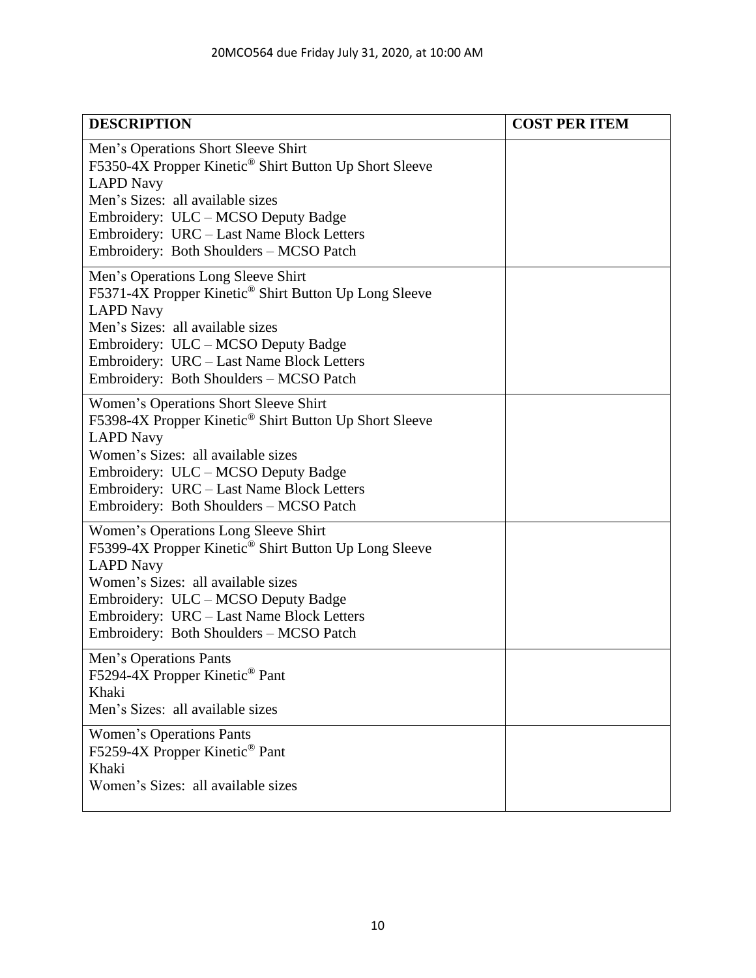| <b>DESCRIPTION</b>                                                                                                                                                                                                                                                                                   | <b>COST PER ITEM</b> |
|------------------------------------------------------------------------------------------------------------------------------------------------------------------------------------------------------------------------------------------------------------------------------------------------------|----------------------|
| Men's Operations Short Sleeve Shirt<br>F5350-4X Propper Kinetic <sup>®</sup> Shirt Button Up Short Sleeve<br><b>LAPD Navy</b><br>Men's Sizes: all available sizes<br>Embroidery: ULC – MCSO Deputy Badge<br>Embroidery: URC - Last Name Block Letters<br>Embroidery: Both Shoulders - MCSO Patch     |                      |
| Men's Operations Long Sleeve Shirt<br>F5371-4X Propper Kinetic® Shirt Button Up Long Sleeve<br><b>LAPD Navy</b><br>Men's Sizes: all available sizes<br>Embroidery: ULC – MCSO Deputy Badge<br>Embroidery: URC - Last Name Block Letters<br>Embroidery: Both Shoulders - MCSO Patch                   |                      |
| Women's Operations Short Sleeve Shirt<br>F5398-4X Propper Kinetic <sup>®</sup> Shirt Button Up Short Sleeve<br><b>LAPD Navy</b><br>Women's Sizes: all available sizes<br>Embroidery: ULC – MCSO Deputy Badge<br>Embroidery: URC - Last Name Block Letters<br>Embroidery: Both Shoulders - MCSO Patch |                      |
| Women's Operations Long Sleeve Shirt<br>F5399-4X Propper Kinetic® Shirt Button Up Long Sleeve<br><b>LAPD Navy</b><br>Women's Sizes: all available sizes<br>Embroidery: ULC – MCSO Deputy Badge<br>Embroidery: URC - Last Name Block Letters<br>Embroidery: Both Shoulders - MCSO Patch               |                      |
| Men's Operations Pants<br>F5294-4X Propper Kinetic <sup>®</sup> Pant<br>Khaki<br>Men's Sizes: all available sizes                                                                                                                                                                                    |                      |
| <b>Women's Operations Pants</b><br>F5259-4X Propper Kinetic <sup>®</sup> Pant<br>Khaki<br>Women's Sizes: all available sizes                                                                                                                                                                         |                      |